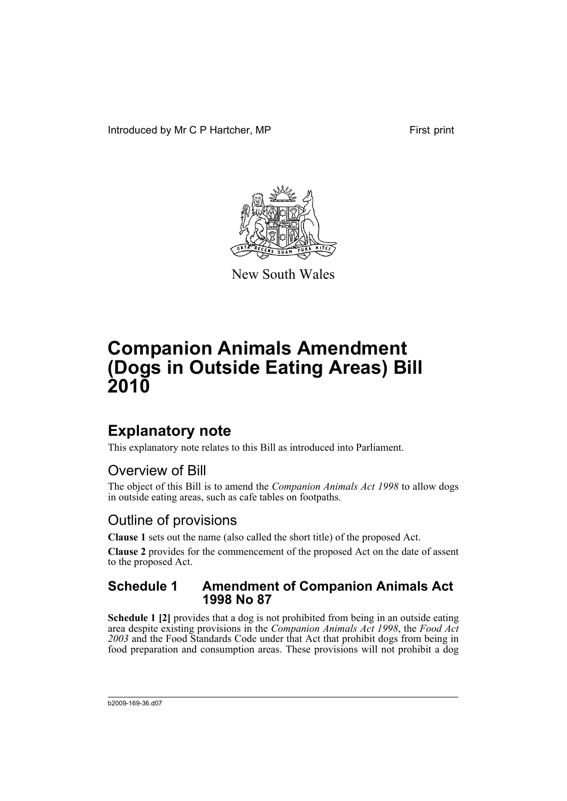Introduced by Mr C P Hartcher, MP First print



New South Wales

# **Companion Animals Amendment (Dogs in Outside Eating Areas) Bill 2010**

## **Explanatory note**

This explanatory note relates to this Bill as introduced into Parliament.

### Overview of Bill

The object of this Bill is to amend the *Companion Animals Act 1998* to allow dogs in outside eating areas, such as cafe tables on footpaths.

### Outline of provisions

**Clause 1** sets out the name (also called the short title) of the proposed Act.

**Clause 2** provides for the commencement of the proposed Act on the date of assent to the proposed Act.

#### **Schedule 1 Amendment of Companion Animals Act 1998 No 87**

**Schedule 1 [2]** provides that a dog is not prohibited from being in an outside eating area despite existing provisions in the *Companion Animals Act 1998*, the *Food Act 2003* and the Food Standards Code under that Act that prohibit dogs from being in food preparation and consumption areas. These provisions will not prohibit a dog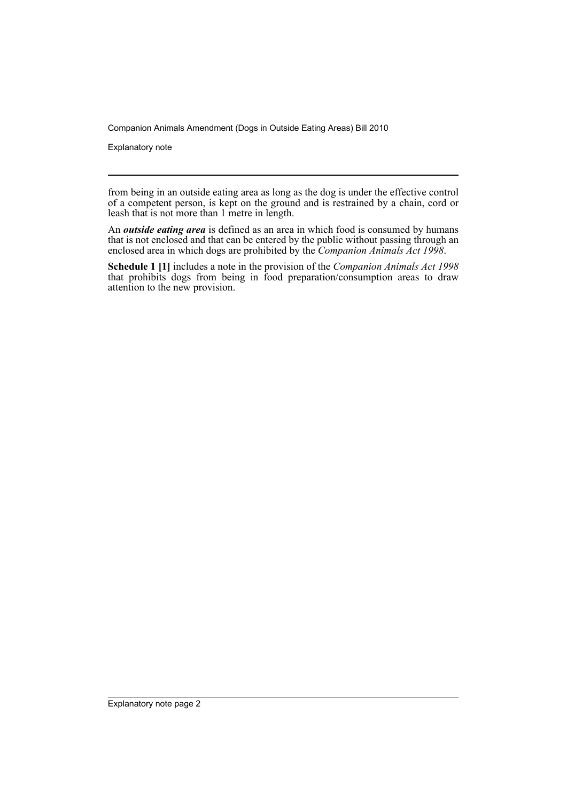Companion Animals Amendment (Dogs in Outside Eating Areas) Bill 2010

Explanatory note

from being in an outside eating area as long as the dog is under the effective control of a competent person, is kept on the ground and is restrained by a chain, cord or leash that is not more than 1 metre in length.

An *outside eating area* is defined as an area in which food is consumed by humans that is not enclosed and that can be entered by the public without passing through an enclosed area in which dogs are prohibited by the *Companion Animals Act 1998*.

**Schedule 1 [1]** includes a note in the provision of the *Companion Animals Act 1998* that prohibits dogs from being in food preparation/consumption areas to draw attention to the new provision.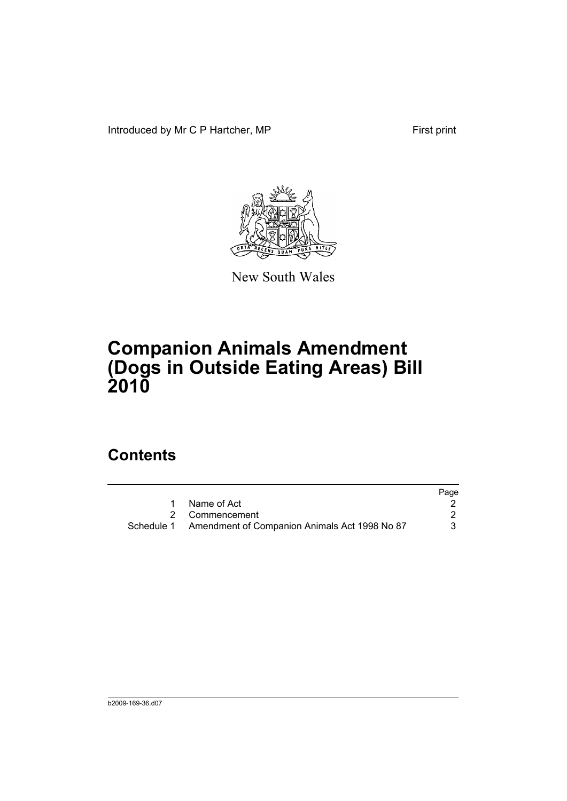Introduced by Mr C P Hartcher, MP First print



New South Wales

# **Companion Animals Amendment (Dogs in Outside Eating Areas) Bill 2010**

## **Contents**

|                                                          | Page |
|----------------------------------------------------------|------|
| Name of Act                                              |      |
| 2 Commencement                                           |      |
| Schedule 1 Amendment of Companion Animals Act 1998 No 87 |      |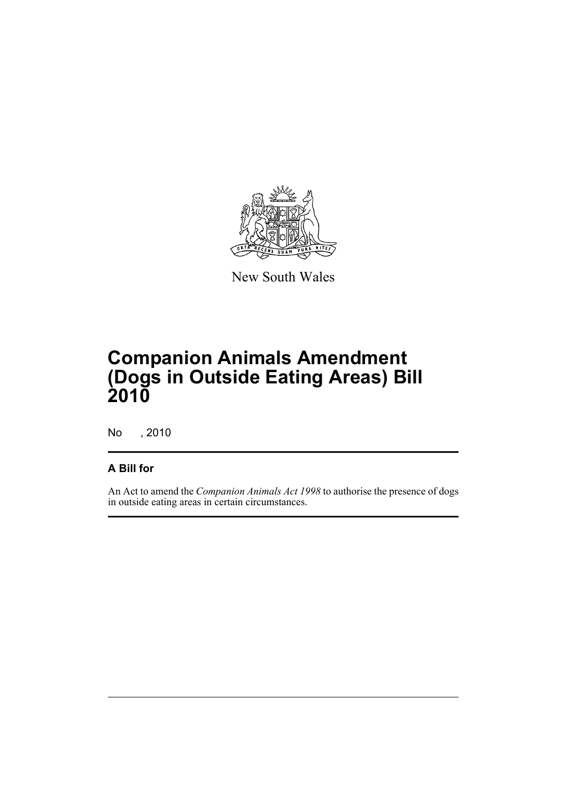

New South Wales

# **Companion Animals Amendment (Dogs in Outside Eating Areas) Bill 2010**

No , 2010

#### **A Bill for**

An Act to amend the *Companion Animals Act 1998* to authorise the presence of dogs in outside eating areas in certain circumstances.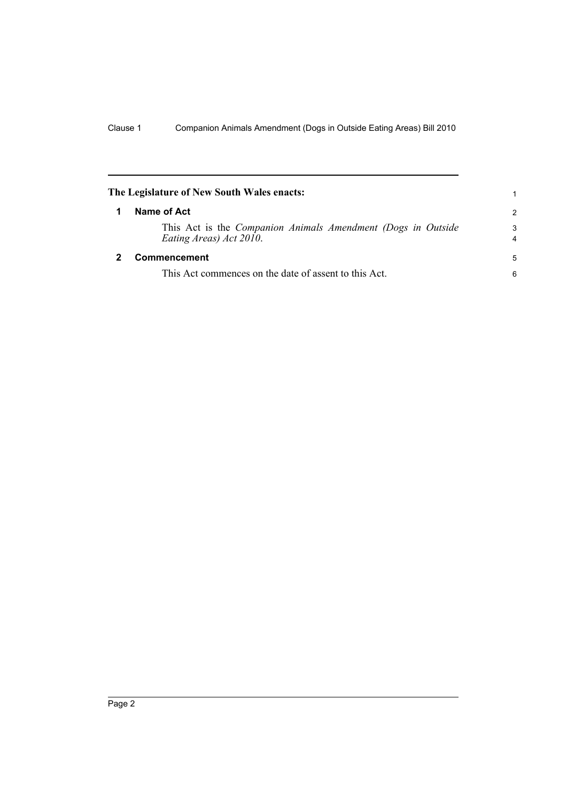<span id="page-5-1"></span><span id="page-5-0"></span>

| The Legislature of New South Wales enacts: |                                                                                         |               |
|--------------------------------------------|-----------------------------------------------------------------------------------------|---------------|
|                                            | Name of Act                                                                             | $\mathcal{P}$ |
|                                            | This Act is the Companion Animals Amendment (Dogs in Outside<br>Eating Areas) Act 2010. | 3<br>4        |
|                                            | Commencement                                                                            | 5             |
|                                            | This Act commences on the date of assent to this Act.                                   | 6             |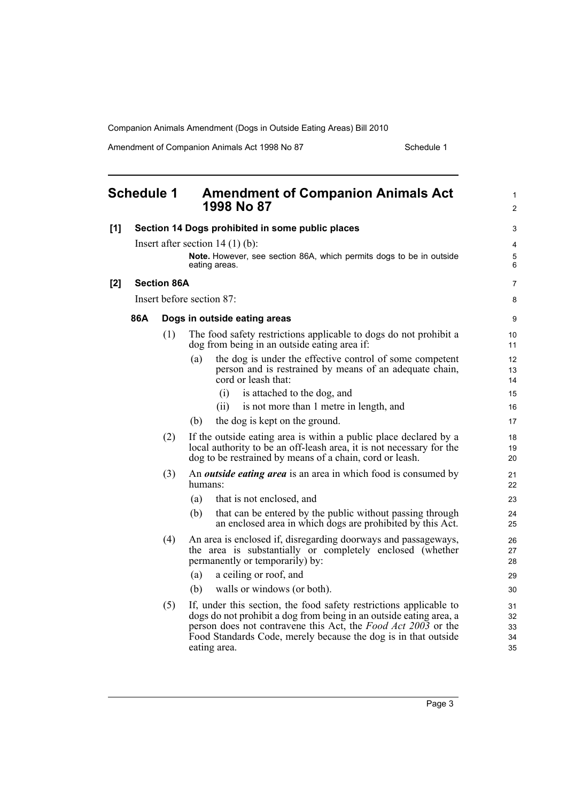Companion Animals Amendment (Dogs in Outside Eating Areas) Bill 2010

Amendment of Companion Animals Act 1998 No 87 Schedule 1

<span id="page-6-0"></span>

| <b>Schedule 1</b> |     |                    | <b>Amendment of Companion Animals Act</b><br>1998 No 87                                                                                                                                                                                                                                     | $\mathbf{1}$<br>$\overline{2}$ |
|-------------------|-----|--------------------|---------------------------------------------------------------------------------------------------------------------------------------------------------------------------------------------------------------------------------------------------------------------------------------------|--------------------------------|
| [1]               |     |                    | Section 14 Dogs prohibited in some public places                                                                                                                                                                                                                                            | 3                              |
|                   |     |                    | Insert after section $14(1)(b)$ :                                                                                                                                                                                                                                                           | 4                              |
|                   |     |                    | Note. However, see section 86A, which permits dogs to be in outside<br>eating areas.                                                                                                                                                                                                        | 5<br>6                         |
| $[2]$             |     | <b>Section 86A</b> |                                                                                                                                                                                                                                                                                             | $\overline{7}$                 |
|                   |     |                    | Insert before section 87:                                                                                                                                                                                                                                                                   | 8                              |
|                   | 86A |                    | Dogs in outside eating areas                                                                                                                                                                                                                                                                | 9                              |
|                   |     | (1)                | The food safety restrictions applicable to dogs do not prohibit a<br>dog from being in an outside eating area if:                                                                                                                                                                           | 10<br>11                       |
|                   |     |                    | the dog is under the effective control of some competent<br>(a)<br>person and is restrained by means of an adequate chain,<br>cord or leash that:                                                                                                                                           | 12<br>13<br>14                 |
|                   |     |                    | (i)<br>is attached to the dog, and                                                                                                                                                                                                                                                          | 15                             |
|                   |     |                    | is not more than 1 metre in length, and<br>(ii)                                                                                                                                                                                                                                             | 16                             |
|                   |     |                    | the dog is kept on the ground.<br>(b)                                                                                                                                                                                                                                                       | 17                             |
|                   |     | (2)                | If the outside eating area is within a public place declared by a<br>local authority to be an off-leash area, it is not necessary for the<br>dog to be restrained by means of a chain, cord or leash.                                                                                       | 18<br>19<br>20                 |
|                   |     | (3)                | An <i>outside eating area</i> is an area in which food is consumed by<br>humans:                                                                                                                                                                                                            | 21<br>22                       |
|                   |     |                    | that is not enclosed, and<br>(a)                                                                                                                                                                                                                                                            | 23                             |
|                   |     |                    | that can be entered by the public without passing through<br>(b)<br>an enclosed area in which dogs are prohibited by this Act.                                                                                                                                                              | 24<br>25                       |
|                   |     | (4)                | An area is enclosed if, disregarding doorways and passageways,<br>the area is substantially or completely enclosed (whether<br>permanently or temporarily) by:                                                                                                                              | 26<br>27<br>28                 |
|                   |     |                    | a ceiling or roof, and<br>(a)                                                                                                                                                                                                                                                               | 29                             |
|                   |     |                    | walls or windows (or both).<br>(b)                                                                                                                                                                                                                                                          | 30                             |
|                   |     | (5)                | If, under this section, the food safety restrictions applicable to<br>dogs do not prohibit a dog from being in an outside eating area, a<br>person does not contravene this Act, the Food Act 2003 or the<br>Food Standards Code, merely because the dog is in that outside<br>eating area. | 31<br>32<br>33<br>34<br>35     |